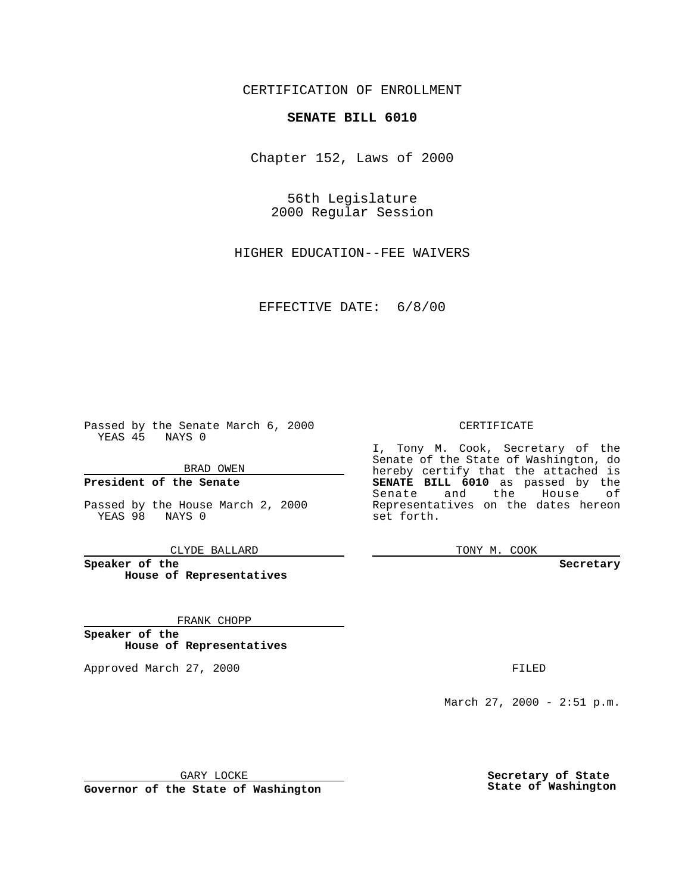CERTIFICATION OF ENROLLMENT

## **SENATE BILL 6010**

Chapter 152, Laws of 2000

56th Legislature 2000 Regular Session

HIGHER EDUCATION--FEE WAIVERS

EFFECTIVE DATE: 6/8/00

Passed by the Senate March 6, 2000 YEAS 45 NAYS 0

BRAD OWEN

**President of the Senate**

Passed by the House March 2, 2000 YEAS 98 NAYS 0

CLYDE BALLARD

**Speaker of the House of Representatives**

FRANK CHOPP

**Speaker of the House of Representatives**

Approved March 27, 2000 FILED

### CERTIFICATE

I, Tony M. Cook, Secretary of the Senate of the State of Washington, do hereby certify that the attached is **SENATE BILL 6010** as passed by the Senate and the House of Representatives on the dates hereon set forth.

TONY M. COOK

#### **Secretary**

March 27, 2000 - 2:51 p.m.

GARY LOCKE

**Governor of the State of Washington**

**Secretary of State State of Washington**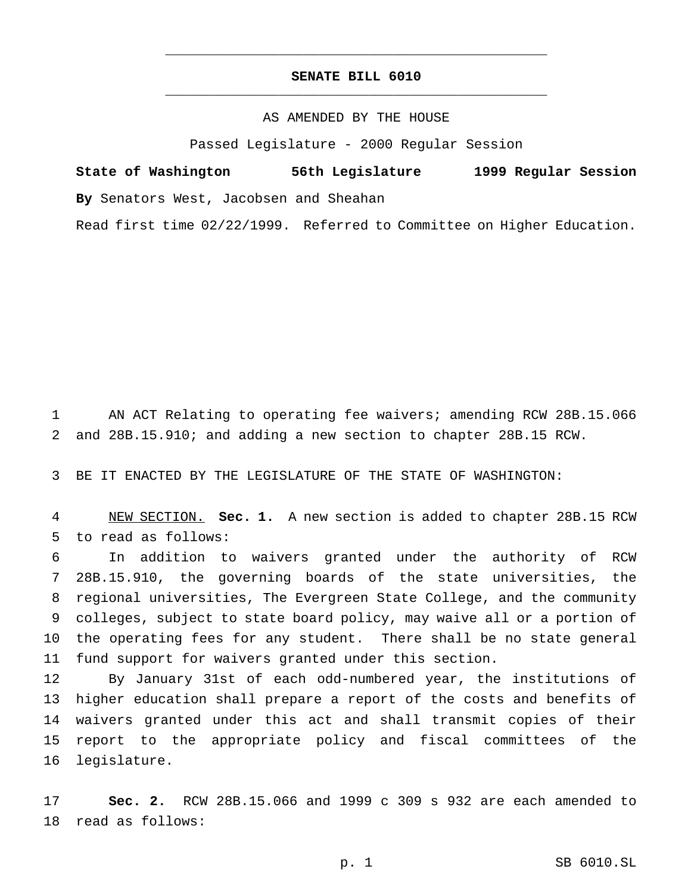# **SENATE BILL 6010** \_\_\_\_\_\_\_\_\_\_\_\_\_\_\_\_\_\_\_\_\_\_\_\_\_\_\_\_\_\_\_\_\_\_\_\_\_\_\_\_\_\_\_\_\_\_\_

\_\_\_\_\_\_\_\_\_\_\_\_\_\_\_\_\_\_\_\_\_\_\_\_\_\_\_\_\_\_\_\_\_\_\_\_\_\_\_\_\_\_\_\_\_\_\_

### AS AMENDED BY THE HOUSE

Passed Legislature - 2000 Regular Session

**State of Washington 56th Legislature 1999 Regular Session By** Senators West, Jacobsen and Sheahan Read first time 02/22/1999. Referred to Committee on Higher Education.

 AN ACT Relating to operating fee waivers; amending RCW 28B.15.066 and 28B.15.910; and adding a new section to chapter 28B.15 RCW.

BE IT ENACTED BY THE LEGISLATURE OF THE STATE OF WASHINGTON:

 NEW SECTION. **Sec. 1.** A new section is added to chapter 28B.15 RCW to read as follows:

 In addition to waivers granted under the authority of RCW 28B.15.910, the governing boards of the state universities, the regional universities, The Evergreen State College, and the community colleges, subject to state board policy, may waive all or a portion of the operating fees for any student. There shall be no state general fund support for waivers granted under this section.

 By January 31st of each odd-numbered year, the institutions of higher education shall prepare a report of the costs and benefits of waivers granted under this act and shall transmit copies of their report to the appropriate policy and fiscal committees of the legislature.

 **Sec. 2.** RCW 28B.15.066 and 1999 c 309 s 932 are each amended to read as follows: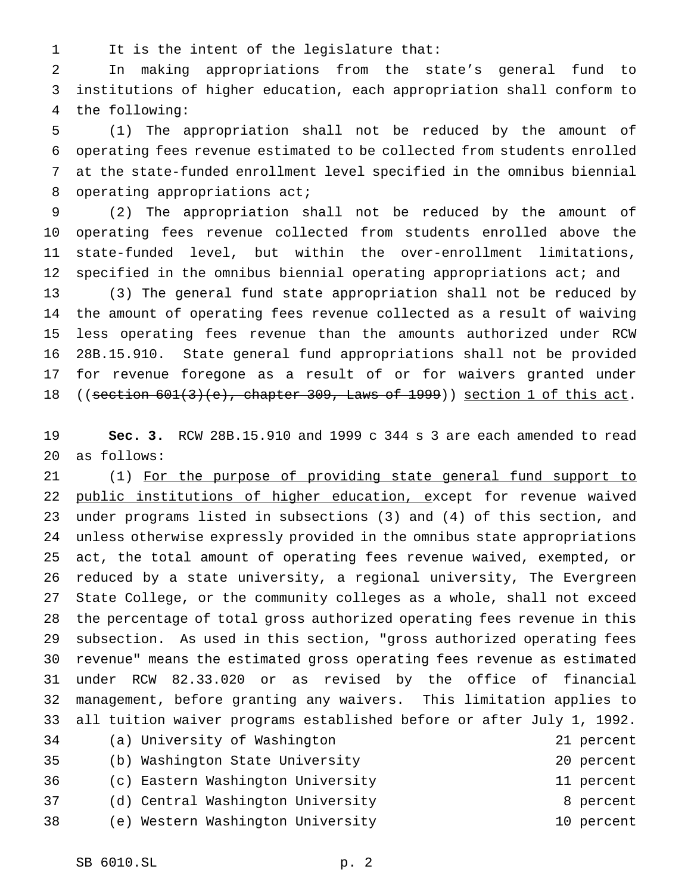It is the intent of the legislature that:

 In making appropriations from the state's general fund to institutions of higher education, each appropriation shall conform to the following:

 (1) The appropriation shall not be reduced by the amount of operating fees revenue estimated to be collected from students enrolled at the state-funded enrollment level specified in the omnibus biennial 8 operating appropriations act;

 (2) The appropriation shall not be reduced by the amount of operating fees revenue collected from students enrolled above the state-funded level, but within the over-enrollment limitations, specified in the omnibus biennial operating appropriations act; and

 (3) The general fund state appropriation shall not be reduced by the amount of operating fees revenue collected as a result of waiving less operating fees revenue than the amounts authorized under RCW 28B.15.910. State general fund appropriations shall not be provided for revenue foregone as a result of or for waivers granted under 18 ((section 601(3)(e), chapter 309, Laws of 1999)) section 1 of this act.

 **Sec. 3.** RCW 28B.15.910 and 1999 c 344 s 3 are each amended to read as follows:

 (1) For the purpose of providing state general fund support to 22 public institutions of higher education, except for revenue waived under programs listed in subsections (3) and (4) of this section, and unless otherwise expressly provided in the omnibus state appropriations act, the total amount of operating fees revenue waived, exempted, or reduced by a state university, a regional university, The Evergreen State College, or the community colleges as a whole, shall not exceed the percentage of total gross authorized operating fees revenue in this subsection. As used in this section, "gross authorized operating fees revenue" means the estimated gross operating fees revenue as estimated under RCW 82.33.020 or as revised by the office of financial management, before granting any waivers. This limitation applies to all tuition waiver programs established before or after July 1, 1992. (a) University of Washington 21 percent (b) Washington State University 20 percent (c) Eastern Washington University 11 percent 37 (d) Central Washington University **8** percent

(e) Western Washington University 10 percent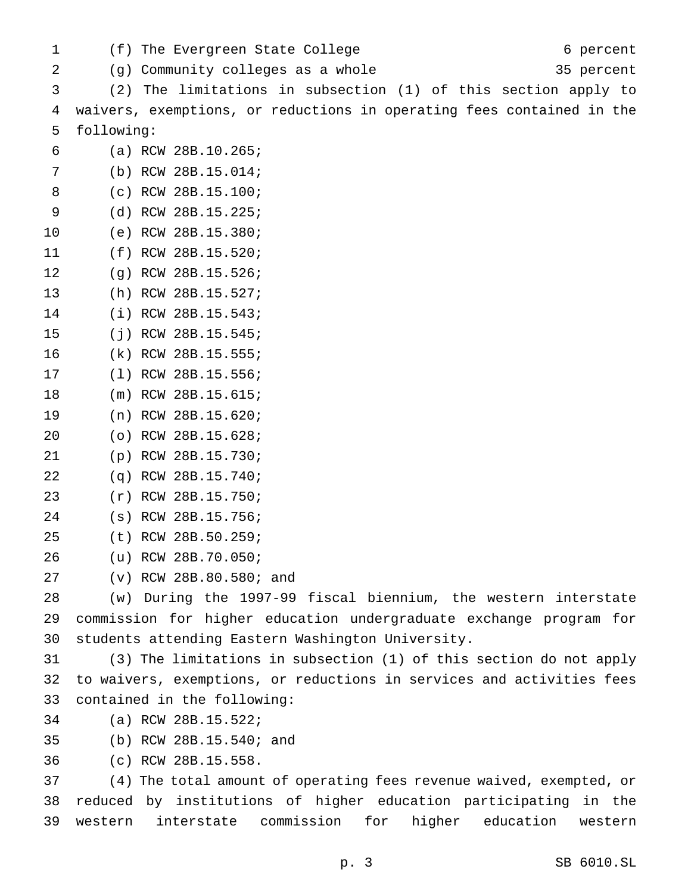1 (f) The Evergreen State College 6 percent (g) Community colleges as a whole 35 percent (2) The limitations in subsection (1) of this section apply to waivers, exemptions, or reductions in operating fees contained in the following: (a) RCW 28B.10.265; (b) RCW 28B.15.014; (c) RCW 28B.15.100; (d) RCW 28B.15.225; (e) RCW 28B.15.380; (f) RCW 28B.15.520; (g) RCW 28B.15.526; (h) RCW 28B.15.527; (i) RCW 28B.15.543; (j) RCW 28B.15.545; (k) RCW 28B.15.555; (l) RCW 28B.15.556; (m) RCW 28B.15.615; (n) RCW 28B.15.620; (o) RCW 28B.15.628; (p) RCW 28B.15.730; (q) RCW 28B.15.740; (r) RCW 28B.15.750; (s) RCW 28B.15.756; (t) RCW 28B.50.259; (u) RCW 28B.70.050; (v) RCW 28B.80.580; and (w) During the 1997-99 fiscal biennium, the western interstate commission for higher education undergraduate exchange program for students attending Eastern Washington University. (3) The limitations in subsection (1) of this section do not apply to waivers, exemptions, or reductions in services and activities fees contained in the following: (a) RCW 28B.15.522; (b) RCW 28B.15.540; and (c) RCW 28B.15.558. (4) The total amount of operating fees revenue waived, exempted, or reduced by institutions of higher education participating in the western interstate commission for higher education western